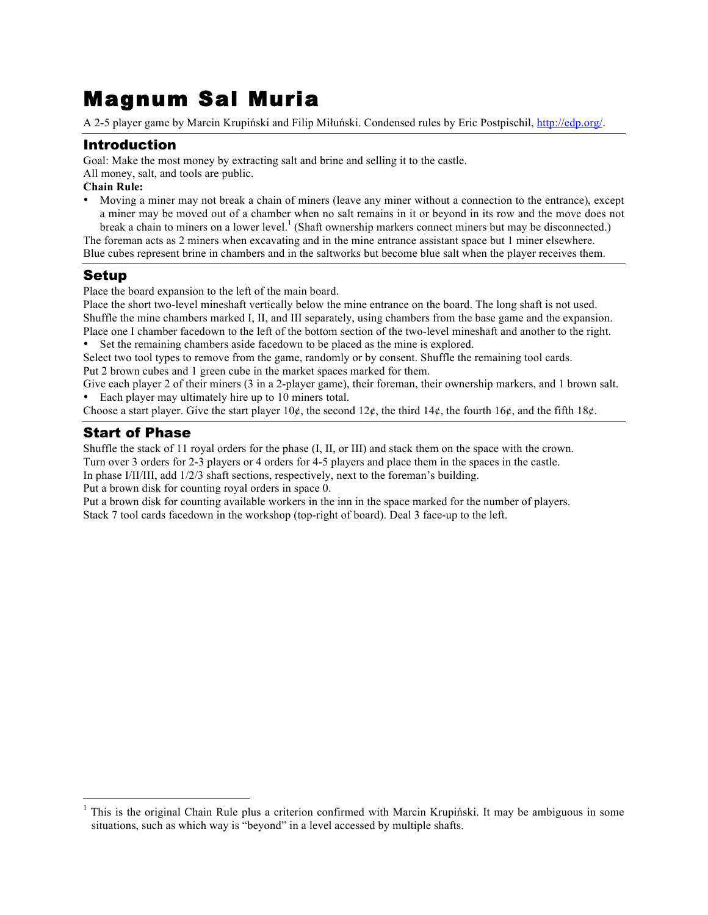# Magnum Sal Muria

A 2-5 player game by Marcin Krupiński and Filip Miłuński. Condensed rules by Eric Postpischil, http://edp.org/.

## Introduction

Goal: Make the most money by extracting salt and brine and selling it to the castle.

All money, salt, and tools are public.

**Chain Rule:**

• Moving a miner may not break a chain of miners (leave any miner without a connection to the entrance), except a miner may be moved out of a chamber when no salt remains in it or beyond in its row and the move does not break a chain to miners on a lower level.<sup>1</sup> (Shaft ownership markers connect miners but may be disconnected.)

The foreman acts as 2 miners when excavating and in the mine entrance assistant space but 1 miner elsewhere. Blue cubes represent brine in chambers and in the saltworks but become blue salt when the player receives them.

# Setup

Place the board expansion to the left of the main board.

Place the short two-level mineshaft vertically below the mine entrance on the board. The long shaft is not used. Shuffle the mine chambers marked I, II, and III separately, using chambers from the base game and the expansion. Place one I chamber facedown to the left of the bottom section of the two-level mineshaft and another to the right. Set the remaining chambers aside facedown to be placed as the mine is explored.

Select two tool types to remove from the game, randomly or by consent. Shuffle the remaining tool cards. Put 2 brown cubes and 1 green cube in the market spaces marked for them.

Give each player 2 of their miners (3 in a 2-player game), their foreman, their ownership markers, and 1 brown salt. Each player may ultimately hire up to 10 miners total.

Choose a start player. Give the start player  $10¢$ , the second  $12¢$ , the third  $14¢$ , the fourth  $16¢$ , and the fifth  $18¢$ .

## Start of Phase

Shuffle the stack of 11 royal orders for the phase (I, II, or III) and stack them on the space with the crown. Turn over 3 orders for 2-3 players or 4 orders for 4-5 players and place them in the spaces in the castle.

In phase I/II/III, add 1/2/3 shaft sections, respectively, next to the foreman's building.

Put a brown disk for counting royal orders in space 0.

Put a brown disk for counting available workers in the inn in the space marked for the number of players. Stack 7 tool cards facedown in the workshop (top-right of board). Deal 3 face-up to the left.

 <sup>1</sup> This is the original Chain Rule plus a criterion confirmed with Marcin Krupiński. It may be ambiguous in some situations, such as which way is "beyond" in a level accessed by multiple shafts.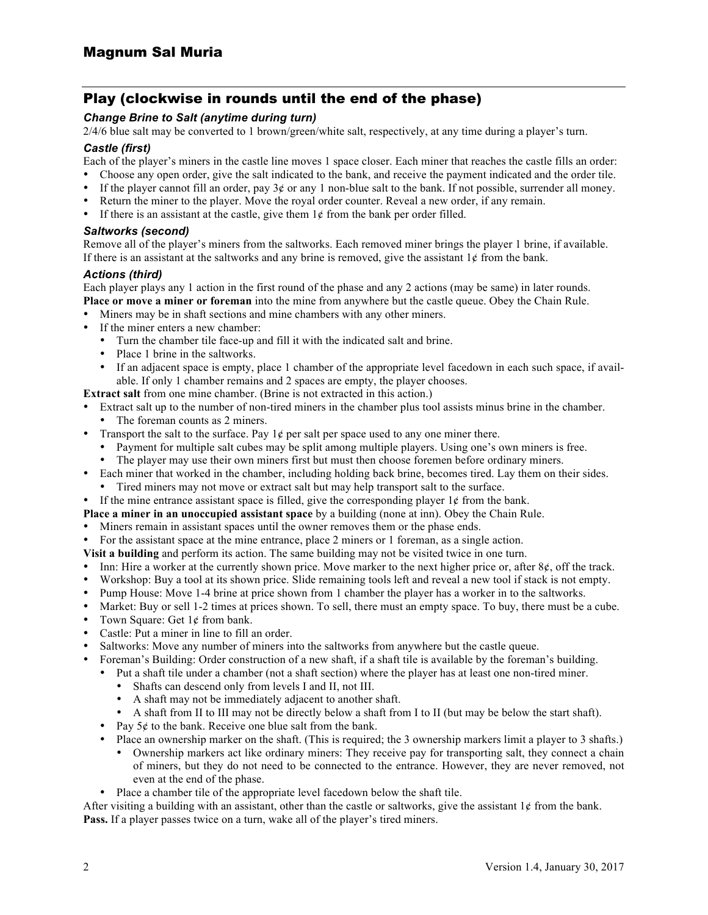## Play (clockwise in rounds until the end of the phase)

## *Change Brine to Salt (anytime during turn)*

2/4/6 blue salt may be converted to 1 brown/green/white salt, respectively, at any time during a player's turn.

#### *Castle (first)*

Each of the player's miners in the castle line moves 1 space closer. Each miner that reaches the castle fills an order:

- Choose any open order, give the salt indicated to the bank, and receive the payment indicated and the order tile.
- If the player cannot fill an order, pay  $3¢$  or any 1 non-blue salt to the bank. If not possible, surrender all money.
- Return the miner to the player. Move the royal order counter. Reveal a new order, if any remain.
- If there is an assistant at the castle, give them  $1¢$  from the bank per order filled.

#### *Saltworks (second)*

Remove all of the player's miners from the saltworks. Each removed miner brings the player 1 brine, if available. If there is an assistant at the saltworks and any brine is removed, give the assistant  $1¢$  from the bank.

## *Actions (third)*

Each player plays any 1 action in the first round of the phase and any 2 actions (may be same) in later rounds. **Place or move a miner or foreman** into the mine from anywhere but the castle queue. Obey the Chain Rule.

- Miners may be in shaft sections and mine chambers with any other miners.
- If the miner enters a new chamber:
	- Turn the chamber tile face-up and fill it with the indicated salt and brine.<br>• Place 1 brine in the saltworks
	- Place 1 brine in the saltworks.
	- If an adjacent space is empty, place 1 chamber of the appropriate level facedown in each such space, if available. If only 1 chamber remains and 2 spaces are empty, the player chooses.

**Extract salt** from one mine chamber. (Brine is not extracted in this action.)

- Extract salt up to the number of non-tired miners in the chamber plus tool assists minus brine in the chamber. • The foreman counts as 2 miners.
- Transport the salt to the surface. Pay  $1¢$  per salt per space used to any one miner there.
	- Payment for multiple salt cubes may be split among multiple players. Using one's own miners is free. The player may use their own miners first but must then choose foremen before ordinary miners.
- Each miner that worked in the chamber, including holding back brine, becomes tired. Lay them on their sides.
- Tired miners may not move or extract salt but may help transport salt to the surface.
- If the mine entrance assistant space is filled, give the corresponding player  $1\ell$  from the bank.
- **Place a miner in an unoccupied assistant space** by a building (none at inn). Obey the Chain Rule.
- Miners remain in assistant spaces until the owner removes them or the phase ends.
- For the assistant space at the mine entrance, place 2 miners or 1 foreman, as a single action.
- **Visit a building** and perform its action. The same building may not be visited twice in one turn.
- Inn: Hire a worker at the currently shown price. Move marker to the next higher price or, after  $8¢$ , off the track.
- Workshop: Buy a tool at its shown price. Slide remaining tools left and reveal a new tool if stack is not empty.
- Pump House: Move 1-4 brine at price shown from 1 chamber the player has a worker in to the saltworks.
- Market: Buy or sell 1-2 times at prices shown. To sell, there must an empty space. To buy, there must be a cube.
- Town Square: Get  $1¢$  from bank.
- Castle: Put a miner in line to fill an order.
- Saltworks: Move any number of miners into the saltworks from anywhere but the castle queue.
- Foreman's Building: Order construction of a new shaft, if a shaft tile is available by the foreman's building.
- Put a shaft tile under a chamber (not a shaft section) where the player has at least one non-tired miner.
	- Shafts can descend only from levels I and II, not III.
	- A shaft may not be immediately adjacent to another shaft.
	- A shaft from II to III may not be directly below a shaft from I to II (but may be below the start shaft).
	- Pay  $5¢$  to the bank. Receive one blue salt from the bank.
		- Place an ownership marker on the shaft. (This is required; the 3 ownership markers limit a player to 3 shafts.) • Ownership markers act like ordinary miners: They receive pay for transporting salt, they connect a chain of miners, but they do not need to be connected to the entrance. However, they are never removed, not even at the end of the phase.
	- Place a chamber tile of the appropriate level facedown below the shaft tile.

After visiting a building with an assistant, other than the castle or saltworks, give the assistant  $1\ell$  from the bank. **Pass.** If a player passes twice on a turn, wake all of the player's tired miners.